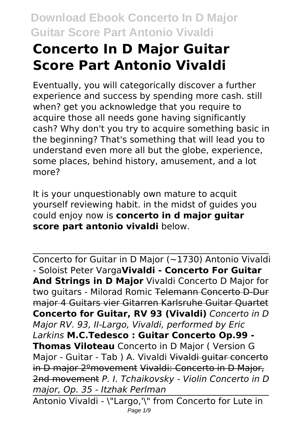# **Concerto In D Major Guitar Score Part Antonio Vivaldi**

Eventually, you will categorically discover a further experience and success by spending more cash. still when? get you acknowledge that you require to acquire those all needs gone having significantly cash? Why don't you try to acquire something basic in the beginning? That's something that will lead you to understand even more all but the globe, experience, some places, behind history, amusement, and a lot more?

It is your unquestionably own mature to acquit yourself reviewing habit. in the midst of guides you could enjoy now is **concerto in d major guitar score part antonio vivaldi** below.

Concerto for Guitar in D Major (~1730) Antonio Vivaldi - Soloist Peter Varga**Vivaldi - Concerto For Guitar And Strings in D Major** Vivaldi Concerto D Major for two guitars - Milorad Romic Telemann Concerto D-Dur major 4 Guitars vier Gitarren Karlsruhe Guitar Quartet **Concerto for Guitar, RV 93 (Vivaldi)** *Concerto in D Major RV. 93, II-Largo, Vivaldi, performed by Eric Larkins* **M.C.Tedesco : Guitar Concerto Op.99 - Thomas Viloteau** Concerto in D Major ( Version G Major - Guitar - Tab ) A. Vivaldi Vivaldi guitar concerto in D major 2ºmovement Vivaldi: Concerto in D Major, 2nd movement *P. I. Tchaikovsky - Violin Concerto in D major, Op. 35 - Itzhak Perlman* Antonio Vivaldi - \"Largo,'\" from Concerto for Lute in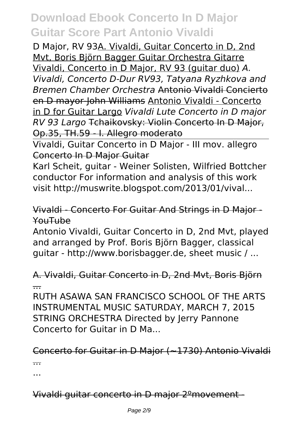D Major, RV 93A. Vivaldi, Guitar Concerto in D, 2nd Mvt, Boris Björn Bagger Guitar Orchestra Gitarre Vivaldi, Concerto in D Major, RV 93 (guitar duo) *A. Vivaldi, Concerto D-Dur RV93, Tatyana Ryzhkova and Bremen Chamber Orchestra* Antonio Vivaldi Concierto en D mayor-John Williams Antonio Vivaldi - Concerto in D for Guitar Largo *Vivaldi Lute Concerto in D major RV 93 Largo* Tchaikovsky: Violin Concerto In D Major, Op.35, TH.59 - I. Allegro moderato

Vivaldi, Guitar Concerto in D Major - III mov. allegro Concerto In D Major Guitar

Karl Scheit, guitar - Weiner Solisten, Wilfried Bottcher conductor For information and analysis of this work visit http://muswrite.blogspot.com/2013/01/vival...

#### Vivaldi - Concerto For Guitar And Strings in D Major - YouTube

Antonio Vivaldi, Guitar Concerto in D, 2nd Mvt, played and arranged by Prof. Boris Björn Bagger, classical guitar - http://www.borisbagger.de, sheet music / ...

#### A. Vivaldi, Guitar Concerto in D, 2nd Mvt, Boris Björn ...

RUTH ASAWA SAN FRANCISCO SCHOOL OF THE ARTS INSTRUMENTAL MUSIC SATURDAY, MARCH 7, 2015 STRING ORCHESTRA Directed by Jerry Pannone Concerto for Guitar in D Ma...

#### Concerto for Guitar in D Major (~1730) Antonio Vivaldi ...

...

Vivaldi guitar concerto in D major 2ºmovement -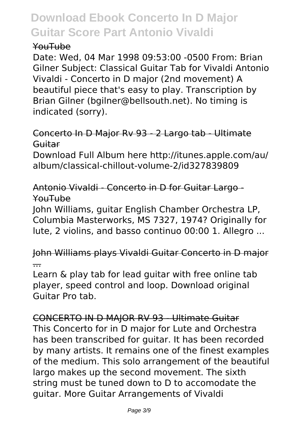#### YouTube

Date: Wed, 04 Mar 1998 09:53:00 -0500 From: Brian Gilner Subject: Classical Guitar Tab for Vivaldi Antonio Vivaldi - Concerto in D major (2nd movement) A beautiful piece that's easy to play. Transcription by Brian Gilner (bgilner@bellsouth.net). No timing is indicated (sorry).

#### Concerto In D Major Rv 93 - 2 Largo tab - Ultimate Guitar

Download Full Album here http://itunes.apple.com/au/ album/classical-chillout-volume-2/id327839809

Antonio Vivaldi - Concerto in D for Guitar Largo-YouTube

John Williams, guitar English Chamber Orchestra LP, Columbia Masterworks, MS 7327, 1974? Originally for lute, 2 violins, and basso continuo 00:00 1. Allegro ...

John Williams plays Vivaldi Guitar Concerto in D major ...

Learn & play tab for lead guitar with free online tab player, speed control and loop. Download original Guitar Pro tab.

CONCERTO IN D MAJOR RV 93 - Ultimate Guitar This Concerto for in D major for Lute and Orchestra has been transcribed for guitar. It has been recorded by many artists. It remains one of the finest examples of the medium. This solo arrangement of the beautiful largo makes up the second movement. The sixth string must be tuned down to D to accomodate the guitar. More Guitar Arrangements of Vivaldi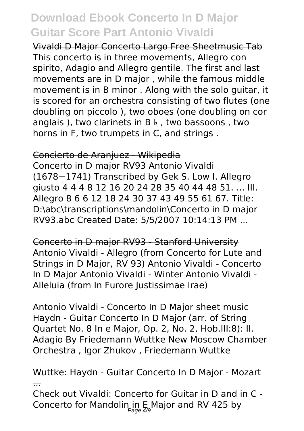Vivaldi D Major Concerto Largo Free Sheetmusic Tab This concerto is in three movements, Allegro con spirito, Adagio and Allegro gentile. The first and last movements are in D major , while the famous middle movement is in B minor . Along with the solo guitar, it is scored for an orchestra consisting of two flutes (one doubling on piccolo ), two oboes (one doubling on cor anglais ), two clarinets in  $B \, \flat$  , two bassoons, two horns in F, two trumpets in C, and strings .

#### Concierto de Aranjuez - Wikipedia

Concerto in D major RV93 Antonio Vivaldi (1678−1741) Transcribed by Gek S. Low I. Allegro giusto 4 4 4 8 12 16 20 24 28 35 40 44 48 51. ... III. Allegro 8 6 6 12 18 24 30 37 43 49 55 61 67. Title: D:\abc\transcriptions\mandolin\Concerto in D major RV93.abc Created Date: 5/5/2007 10:14:13 PM ...

Concerto in D major RV93 - Stanford University Antonio Vivaldi - Allegro (from Concerto for Lute and Strings in D Major, RV 93) Antonio Vivaldi - Concerto In D Major Antonio Vivaldi - Winter Antonio Vivaldi - Alleluia (from In Furore Iustissimae Irae)

Antonio Vivaldi - Concerto In D Major sheet music Haydn - Guitar Concerto In D Major (arr. of String Quartet No. 8 In e Major, Op. 2, No. 2, Hob.III:8): II. Adagio By Friedemann Wuttke New Moscow Chamber Orchestra , Igor Zhukov , Friedemann Wuttke

#### Wuttke: Haydn - Guitar Concerto In D Major - Mozart ...

Check out Vivaldi: Concerto for Guitar in D and in C - Concerto for Mandolin in E Major and RV 425 by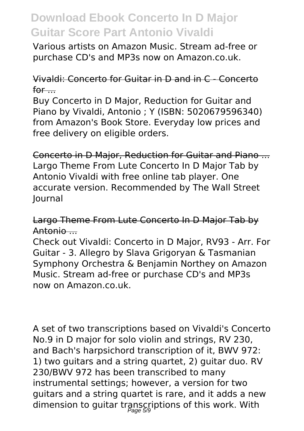Various artists on Amazon Music. Stream ad-free or purchase CD's and MP3s now on Amazon.co.uk.

#### Vivaldi: Concerto for Guitar in D and in C - Concerto  $for$ ....

Buy Concerto in D Major, Reduction for Guitar and Piano by Vivaldi, Antonio ; Y (ISBN: 5020679596340) from Amazon's Book Store. Everyday low prices and free delivery on eligible orders.

Concerto in D Major, Reduction for Guitar and Piano ... Largo Theme From Lute Concerto In D Major Tab by Antonio Vivaldi with free online tab player. One accurate version. Recommended by The Wall Street Journal

Largo Theme From Lute Concerto In D Major Tab by Antonio ...

Check out Vivaldi: Concerto in D Major, RV93 - Arr. For Guitar - 3. Allegro by Slava Grigoryan & Tasmanian Symphony Orchestra & Benjamin Northey on Amazon Music. Stream ad-free or purchase CD's and MP3s now on Amazon.co.uk.

A set of two transcriptions based on Vivaldi's Concerto No.9 in D major for solo violin and strings, RV 230, and Bach's harpsichord transcription of it, BWV 972: 1) two guitars and a string quartet, 2) guitar duo. RV 230/BWV 972 has been transcribed to many instrumental settings; however, a version for two guitars and a string quartet is rare, and it adds a new dimension to guitar transcriptions of this work. With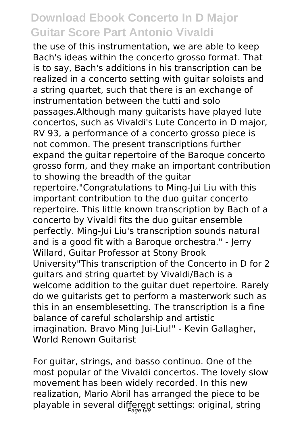the use of this instrumentation, we are able to keep Bach's ideas within the concerto grosso format. That is to say, Bach's additions in his transcription can be realized in a concerto setting with guitar soloists and a string quartet, such that there is an exchange of instrumentation between the tutti and solo passages.Although many guitarists have played lute concertos, such as Vivaldi's Lute Concerto in D major, RV 93, a performance of a concerto grosso piece is not common. The present transcriptions further expand the guitar repertoire of the Baroque concerto grosso form, and they make an important contribution to showing the breadth of the guitar repertoire."Congratulations to Ming-Jui Liu with this important contribution to the duo guitar concerto repertoire. This little known transcription by Bach of a concerto by Vivaldi fits the duo guitar ensemble perfectly. Ming-Jui Liu's transcription sounds natural and is a good fit with a Baroque orchestra." - Jerry Willard, Guitar Professor at Stony Brook University"This transcription of the Concerto in D for 2 guitars and string quartet by Vivaldi/Bach is a welcome addition to the guitar duet repertoire. Rarely do we guitarists get to perform a masterwork such as this in an ensemblesetting. The transcription is a fine balance of careful scholarship and artistic imagination. Bravo Ming Jui-Liu!" - Kevin Gallagher, World Renown Guitarist

For guitar, strings, and basso continuo. One of the most popular of the Vivaldi concertos. The lovely slow movement has been widely recorded. In this new realization, Mario Abril has arranged the piece to be playable in several different settings: original, string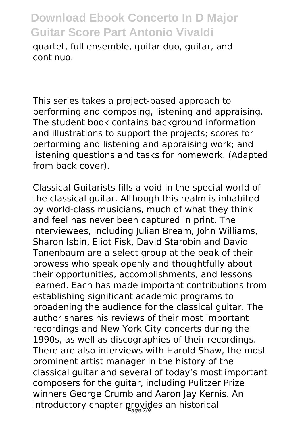quartet, full ensemble, guitar duo, guitar, and continuo.

This series takes a project-based approach to performing and composing, listening and appraising. The student book contains background information and illustrations to support the projects; scores for performing and listening and appraising work; and listening questions and tasks for homework. (Adapted from back cover).

Classical Guitarists fills a void in the special world of the classical guitar. Although this realm is inhabited by world-class musicians, much of what they think and feel has never been captured in print. The interviewees, including Julian Bream, John Williams, Sharon Isbin, Eliot Fisk, David Starobin and David Tanenbaum are a select group at the peak of their prowess who speak openly and thoughtfully about their opportunities, accomplishments, and lessons learned. Each has made important contributions from establishing significant academic programs to broadening the audience for the classical guitar. The author shares his reviews of their most important recordings and New York City concerts during the 1990s, as well as discographies of their recordings. There are also interviews with Harold Shaw, the most prominent artist manager in the history of the classical guitar and several of today's most important composers for the guitar, including Pulitzer Prize winners George Crumb and Aaron Jay Kernis. An introductory chapter provides an historical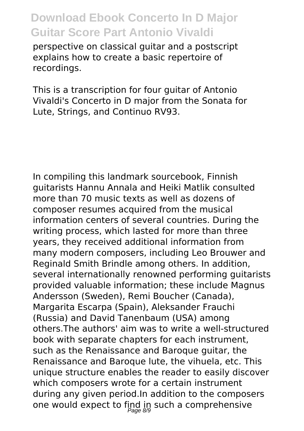perspective on classical guitar and a postscript explains how to create a basic repertoire of recordings.

This is a transcription for four guitar of Antonio Vivaldi's Concerto in D major from the Sonata for Lute, Strings, and Continuo RV93.

In compiling this landmark sourcebook, Finnish guitarists Hannu Annala and Heiki Matlik consulted more than 70 music texts as well as dozens of composer resumes acquired from the musical information centers of several countries. During the writing process, which lasted for more than three years, they received additional information from many modern composers, including Leo Brouwer and Reginald Smith Brindle among others. In addition, several internationally renowned performing guitarists provided valuable information; these include Magnus Andersson (Sweden), Remi Boucher (Canada), Margarita Escarpa (Spain), Aleksander Frauchi (Russia) and David Tanenbaum (USA) among others.The authors' aim was to write a well-structured book with separate chapters for each instrument, such as the Renaissance and Baroque guitar, the Renaissance and Baroque lute, the vihuela, etc. This unique structure enables the reader to easily discover which composers wrote for a certain instrument during any given period.In addition to the composers one would expect to find in such a comprehensive